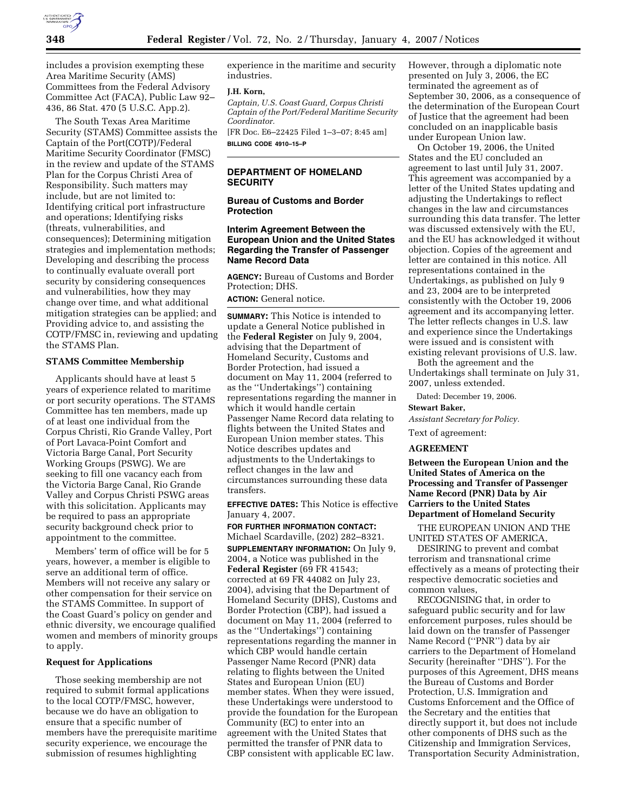

includes a provision exempting these Area Maritime Security (AMS) Committees from the Federal Advisory Committee Act (FACA), Public Law 92– 436, 86 Stat. 470 (5 U.S.C. App.2).

The South Texas Area Maritime Security (STAMS) Committee assists the Captain of the Port(COTP)/Federal Maritime Security Coordinator (FMSC) in the review and update of the STAMS Plan for the Corpus Christi Area of Responsibility. Such matters may include, but are not limited to: Identifying critical port infrastructure and operations; Identifying risks (threats, vulnerabilities, and consequences); Determining mitigation strategies and implementation methods; Developing and describing the process to continually evaluate overall port security by considering consequences and vulnerabilities, how they may change over time, and what additional mitigation strategies can be applied; and Providing advice to, and assisting the COTP/FMSC in, reviewing and updating the STAMS Plan.

## **STAMS Committee Membership**

Applicants should have at least 5 years of experience related to maritime or port security operations. The STAMS Committee has ten members, made up of at least one individual from the Corpus Christi, Rio Grande Valley, Port of Port Lavaca-Point Comfort and Victoria Barge Canal, Port Security Working Groups (PSWG). We are seeking to fill one vacancy each from the Victoria Barge Canal, Rio Grande Valley and Corpus Christi PSWG areas with this solicitation. Applicants may be required to pass an appropriate security background check prior to appointment to the committee.

Members' term of office will be for 5 years, however, a member is eligible to serve an additional term of office. Members will not receive any salary or other compensation for their service on the STAMS Committee. In support of the Coast Guard's policy on gender and ethnic diversity, we encourage qualified women and members of minority groups to apply.

### **Request for Applications**

Those seeking membership are not required to submit formal applications to the local COTP/FMSC, however, because we do have an obligation to ensure that a specific number of members have the prerequisite maritime security experience, we encourage the submission of resumes highlighting

experience in the maritime and security industries.

#### **J.H. Korn,**

*Captain, U.S. Coast Guard, Corpus Christi Captain of the Port/Federal Maritime Security Coordinator.* 

[FR Doc. E6–22425 Filed 1–3–07; 8:45 am] **BILLING CODE 4910–15–P** 

# **DEPARTMENT OF HOMELAND SECURITY**

**Bureau of Customs and Border Protection** 

# **Interim Agreement Between the European Union and the United States Regarding the Transfer of Passenger Name Record Data**

**AGENCY:** Bureau of Customs and Border Protection; DHS.

# **ACTION:** General notice.

**SUMMARY:** This Notice is intended to update a General Notice published in the **Federal Register** on July 9, 2004, advising that the Department of Homeland Security, Customs and Border Protection, had issued a document on May 11, 2004 (referred to as the ''Undertakings'') containing representations regarding the manner in which it would handle certain Passenger Name Record data relating to flights between the United States and European Union member states. This Notice describes updates and adjustments to the Undertakings to reflect changes in the law and circumstances surrounding these data transfers.

**EFFECTIVE DATES:** This Notice is effective January 4, 2007.

**FOR FURTHER INFORMATION CONTACT:**  Michael Scardaville, (202) 282–8321.

**SUPPLEMENTARY INFORMATION:** On July 9, 2004, a Notice was published in the **Federal Register** (69 FR 41543; corrected at 69 FR 44082 on July 23, 2004), advising that the Department of Homeland Security (DHS), Customs and Border Protection (CBP), had issued a document on May 11, 2004 (referred to as the ''Undertakings'') containing representations regarding the manner in which CBP would handle certain Passenger Name Record (PNR) data relating to flights between the United States and European Union (EU) member states. When they were issued, these Undertakings were understood to provide the foundation for the European Community (EC) to enter into an agreement with the United States that permitted the transfer of PNR data to CBP consistent with applicable EC law.

However, through a diplomatic note presented on July 3, 2006, the EC terminated the agreement as of September 30, 2006, as a consequence of the determination of the European Court of Justice that the agreement had been concluded on an inapplicable basis under European Union law.

On October 19, 2006, the United States and the EU concluded an agreement to last until July 31, 2007. This agreement was accompanied by a letter of the United States updating and adjusting the Undertakings to reflect changes in the law and circumstances surrounding this data transfer. The letter was discussed extensively with the EU, and the EU has acknowledged it without objection. Copies of the agreement and letter are contained in this notice. All representations contained in the Undertakings, as published on July 9 and 23, 2004 are to be interpreted consistently with the October 19, 2006 agreement and its accompanying letter. The letter reflects changes in U.S. law and experience since the Undertakings were issued and is consistent with existing relevant provisions of U.S. law.

Both the agreement and the Undertakings shall terminate on July 31, 2007, unless extended.

Dated: December 19, 2006.

### **Stewart Baker,**

*Assistant Secretary for Policy.* 

Text of agreement:

## **AGREEMENT**

**Between the European Union and the United States of America on the Processing and Transfer of Passenger Name Record (PNR) Data by Air Carriers to the United States Department of Homeland Security** 

THE EUROPEAN UNION AND THE UNITED STATES OF AMERICA,

DESIRING to prevent and combat terrorism and transnational crime effectively as a means of protecting their respective democratic societies and common values,

RECOGNISING that, in order to safeguard public security and for law enforcement purposes, rules should be laid down on the transfer of Passenger Name Record (''PNR'') data by air carriers to the Department of Homeland Security (hereinafter ''DHS''). For the purposes of this Agreement, DHS means the Bureau of Customs and Border Protection, U.S. Immigration and Customs Enforcement and the Office of the Secretary and the entities that directly support it, but does not include other components of DHS such as the Citizenship and Immigration Services, Transportation Security Administration,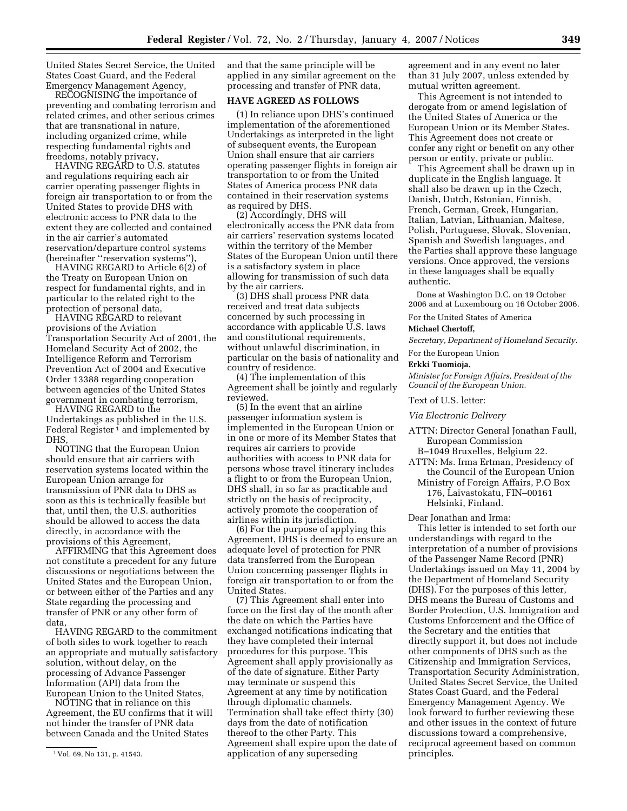United States Secret Service, the United States Coast Guard, and the Federal Emergency Management Agency,

RECOGNISING the importance of preventing and combating terrorism and related crimes, and other serious crimes that are transnational in nature, including organized crime, while respecting fundamental rights and freedoms, notably privacy,

HAVING REGARD to U.S. statutes and regulations requiring each air carrier operating passenger flights in foreign air transportation to or from the United States to provide DHS with electronic access to PNR data to the extent they are collected and contained in the air carrier's automated reservation/departure control systems (hereinafter ''reservation systems''),

HAVING REGARD to Article 6(2) of the Treaty on European Union on respect for fundamental rights, and in particular to the related right to the protection of personal data,

HAVING REGARD to relevant provisions of the Aviation Transportation Security Act of 2001, the Homeland Security Act of 2002, the Intelligence Reform and Terrorism Prevention Act of 2004 and Executive Order 13388 regarding cooperation between agencies of the United States government in combating terrorism,

HAVING REGARD to the Undertakings as published in the U.S. Federal Register<sup>1</sup> and implemented by DHS,

NOTING that the European Union should ensure that air carriers with reservation systems located within the European Union arrange for transmission of PNR data to DHS as soon as this is technically feasible but that, until then, the U.S. authorities should be allowed to access the data directly, in accordance with the provisions of this Agreement,

AFFIRMING that this Agreement does not constitute a precedent for any future discussions or negotiations between the United States and the European Union, or between either of the Parties and any State regarding the processing and transfer of PNR or any other form of data,

HAVING REGARD to the commitment of both sides to work together to reach an appropriate and mutually satisfactory solution, without delay, on the processing of Advance Passenger Information (API) data from the European Union to the United States,

NOTING that in reliance on this Agreement, the EU confirms that it will not hinder the transfer of PNR data between Canada and the United States

and that the same principle will be applied in any similar agreement on the processing and transfer of PNR data,

# **HAVE AGREED AS FOLLOWS**

(1) In reliance upon DHS's continued implementation of the aforementioned Undertakings as interpreted in the light of subsequent events, the European Union shall ensure that air carriers operating passenger flights in foreign air transportation to or from the United States of America process PNR data contained in their reservation systems as required by DHS.

(2) Accordingly, DHS will electronically access the PNR data from air carriers' reservation systems located within the territory of the Member States of the European Union until there is a satisfactory system in place allowing for transmission of such data by the air carriers.

(3) DHS shall process PNR data received and treat data subjects concerned by such processing in accordance with applicable U.S. laws and constitutional requirements, without unlawful discrimination, in particular on the basis of nationality and country of residence.

(4) The implementation of this Agreement shall be jointly and regularly reviewed.

(5) In the event that an airline passenger information system is implemented in the European Union or in one or more of its Member States that requires air carriers to provide authorities with access to PNR data for persons whose travel itinerary includes a flight to or from the European Union, DHS shall, in so far as practicable and strictly on the basis of reciprocity, actively promote the cooperation of airlines within its jurisdiction.

(6) For the purpose of applying this Agreement, DHS is deemed to ensure an adequate level of protection for PNR data transferred from the European Union concerning passenger flights in foreign air transportation to or from the United States.

(7) This Agreement shall enter into force on the first day of the month after the date on which the Parties have exchanged notifications indicating that they have completed their internal procedures for this purpose. This Agreement shall apply provisionally as of the date of signature. Either Party may terminate or suspend this Agreement at any time by notification through diplomatic channels. Termination shall take effect thirty (30) days from the date of notification thereof to the other Party. This Agreement shall expire upon the date of application of any superseding

agreement and in any event no later than 31 July 2007, unless extended by mutual written agreement.

This Agreement is not intended to derogate from or amend legislation of the United States of America or the European Union or its Member States. This Agreement does not create or confer any right or benefit on any other person or entity, private or public.

This Agreement shall be drawn up in duplicate in the English language. It shall also be drawn up in the Czech, Danish, Dutch, Estonian, Finnish, French, German, Greek, Hungarian, Italian, Latvian, Lithuanian, Maltese, Polish, Portuguese, Slovak, Slovenian, Spanish and Swedish languages, and the Parties shall approve these language versions. Once approved, the versions in these languages shall be equally authentic.

Done at Washington D.C. on 19 October 2006 and at Luxembourg on 16 October 2006.

For the United States of America

#### **Michael Chertoff,**

*Secretary, Department of Homeland Security.* 

For the European Union

## **Erkki Tuomioja,**

*Minister for Foreign Affairs, President of the Council of the European Union.* 

Text of U.S. letter:

#### *Via Electronic Delivery*

- ATTN: Director General Jonathan Faull, European Commission
- B–1049 Bruxelles, Belgium 22. ATTN: Ms. Irma Ertman, Presidency of the Council of the European Union
	- Ministry of Foreign Affairs, P.O Box 176, Laivastokatu, FIN–00161 Helsinki, Finland.

Dear Jonathan and Irma:

This letter is intended to set forth our understandings with regard to the interpretation of a number of provisions of the Passenger Name Record (PNR) Undertakings issued on May 11, 2004 by the Department of Homeland Security (DHS). For the purposes of this letter, DHS means the Bureau of Customs and Border Protection, U.S. Immigration and Customs Enforcement and the Office of the Secretary and the entities that directly support it, but does not include other components of DHS such as the Citizenship and Immigration Services, Transportation Security Administration, United States Secret Service, the United States Coast Guard, and the Federal Emergency Management Agency. We look forward to further reviewing these and other issues in the context of future discussions toward a comprehensive, reciprocal agreement based on common principles.

<sup>1</sup> Vol. 69, No 131, p. 41543.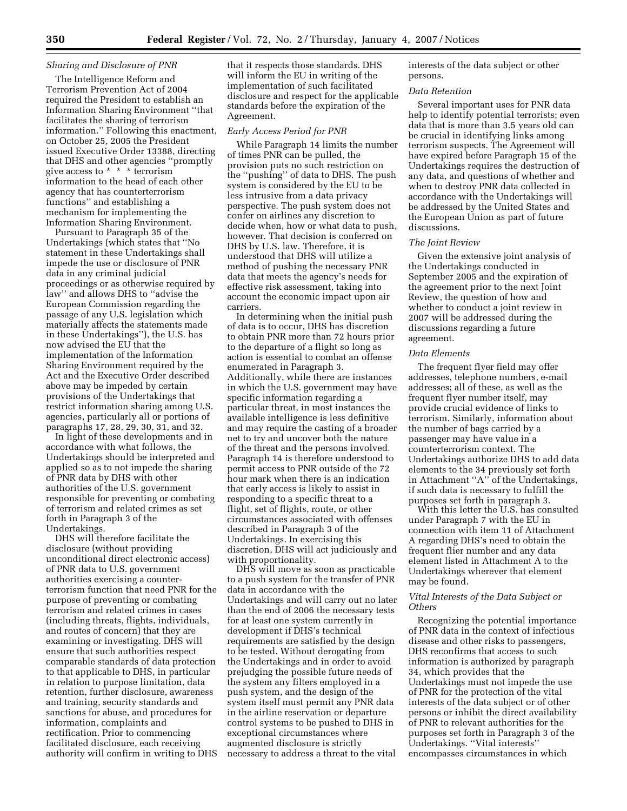## *Sharing and Disclosure of PNR*

The Intelligence Reform and Terrorism Prevention Act of 2004 required the President to establish an Information Sharing Environment ''that facilitates the sharing of terrorism information.'' Following this enactment, on October 25, 2005 the President issued Executive Order 13388, directing that DHS and other agencies ''promptly give access to  $* * *$  terrorism information to the head of each other agency that has counterterrorism functions'' and establishing a mechanism for implementing the Information Sharing Environment.

Pursuant to Paragraph 35 of the Undertakings (which states that ''No statement in these Undertakings shall impede the use or disclosure of PNR data in any criminal judicial proceedings or as otherwise required by law'' and allows DHS to ''advise the European Commission regarding the passage of any U.S. legislation which materially affects the statements made in these Undertakings''), the U.S. has now advised the EU that the implementation of the Information Sharing Environment required by the Act and the Executive Order described above may be impeded by certain provisions of the Undertakings that restrict information sharing among U.S. agencies, particularly all or portions of paragraphs 17, 28, 29, 30, 31, and 32.

In light of these developments and in accordance with what follows, the Undertakings should be interpreted and applied so as to not impede the sharing of PNR data by DHS with other authorities of the U.S. government responsible for preventing or combating of terrorism and related crimes as set forth in Paragraph 3 of the Undertakings.

DHS will therefore facilitate the disclosure (without providing unconditional direct electronic access) of PNR data to U.S. government authorities exercising a counterterrorism function that need PNR for the purpose of preventing or combating terrorism and related crimes in cases (including threats, flights, individuals, and routes of concern) that they are examining or investigating. DHS will ensure that such authorities respect comparable standards of data protection to that applicable to DHS, in particular in relation to purpose limitation, data retention, further disclosure, awareness and training, security standards and sanctions for abuse, and procedures for information, complaints and rectification. Prior to commencing facilitated disclosure, each receiving authority will confirm in writing to DHS that it respects those standards. DHS will inform the EU in writing of the implementation of such facilitated disclosure and respect for the applicable standards before the expiration of the Agreement.

#### *Early Access Period for PNR*

While Paragraph 14 limits the number of times PNR can be pulled, the provision puts no such restriction on the ''pushing'' of data to DHS. The push system is considered by the EU to be less intrusive from a data privacy perspective. The push system does not confer on airlines any discretion to decide when, how or what data to push, however. That decision is conferred on DHS by U.S. law. Therefore, it is understood that DHS will utilize a method of pushing the necessary PNR data that meets the agency's needs for effective risk assessment, taking into account the economic impact upon air carriers.

In determining when the initial push of data is to occur, DHS has discretion to obtain PNR more than 72 hours prior to the departure of a flight so long as action is essential to combat an offense enumerated in Paragraph 3. Additionally, while there are instances in which the U.S. government may have specific information regarding a particular threat, in most instances the available intelligence is less definitive and may require the casting of a broader net to try and uncover both the nature of the threat and the persons involved. Paragraph 14 is therefore understood to permit access to PNR outside of the 72 hour mark when there is an indication that early access is likely to assist in responding to a specific threat to a flight, set of flights, route, or other circumstances associated with offenses described in Paragraph 3 of the Undertakings. In exercising this discretion, DHS will act judiciously and with proportionality.

DHS will move as soon as practicable to a push system for the transfer of PNR data in accordance with the Undertakings and will carry out no later than the end of 2006 the necessary tests for at least one system currently in development if DHS's technical requirements are satisfied by the design to be tested. Without derogating from the Undertakings and in order to avoid prejudging the possible future needs of the system any filters employed in a push system, and the design of the system itself must permit any PNR data in the airline reservation or departure control systems to be pushed to DHS in exceptional circumstances where augmented disclosure is strictly necessary to address a threat to the vital

interests of the data subject or other persons.

### *Data Retention*

Several important uses for PNR data help to identify potential terrorists; even data that is more than 3.5 years old can be crucial in identifying links among terrorism suspects. The Agreement will have expired before Paragraph 15 of the Undertakings requires the destruction of any data, and questions of whether and when to destroy PNR data collected in accordance with the Undertakings will be addressed by the United States and the European Union as part of future discussions.

#### *The Joint Review*

Given the extensive joint analysis of the Undertakings conducted in September 2005 and the expiration of the agreement prior to the next Joint Review, the question of how and whether to conduct a joint review in 2007 will be addressed during the discussions regarding a future agreement.

#### *Data Elements*

The frequent flyer field may offer addresses, telephone numbers, e-mail addresses; all of these, as well as the frequent flyer number itself, may provide crucial evidence of links to terrorism. Similarly, information about the number of bags carried by a passenger may have value in a counterterrorism context. The Undertakings authorize DHS to add data elements to the 34 previously set forth in Attachment ''A'' of the Undertakings, if such data is necessary to fulfill the purposes set forth in paragraph 3.

With this letter the U.S. has consulted under Paragraph 7 with the EU in connection with item 11 of Attachment A regarding DHS's need to obtain the frequent flier number and any data element listed in Attachment A to the Undertakings wherever that element may be found.

## *Vital Interests of the Data Subject or Others*

Recognizing the potential importance of PNR data in the context of infectious disease and other risks to passengers, DHS reconfirms that access to such information is authorized by paragraph 34, which provides that the Undertakings must not impede the use of PNR for the protection of the vital interests of the data subject or of other persons or inhibit the direct availability of PNR to relevant authorities for the purposes set forth in Paragraph 3 of the Undertakings. ''Vital interests'' encompasses circumstances in which